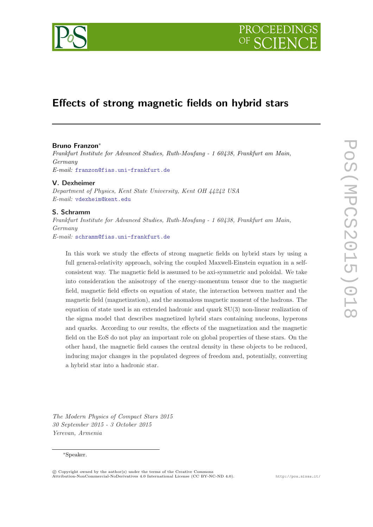



# Effects of strong magnetic fields on hybrid stars

## Bruno Franzon<sup>∗</sup>

Frankfurt Institute for Advanced Studies, Ruth-Moufang - 1 60438, Frankfurt am Main, Germany E-mail: [franzon@fias.uni-frankfurt.de](mailto:franzon@fias.uni-frankfurt.de)

### V. Dexheimer

Department of Physics, Kent State University, Kent OH 44242 USA E-mail: [vdexheim@kent.edu](mailto:vdexheim@kent.edu)

### S. Schramm

Frankfurt Institute for Advanced Studies, Ruth-Moufang - 1 60438, Frankfurt am Main, Germany E-mail: [schramm@fias.uni-frankfurt.de](mailto:schramm@fias.uni-frankfurt.de)

In this work we study the effects of strong magnetic fields on hybrid stars by using a full general-relativity approach, solving the coupled Maxwell-Einstein equation in a selfconsistent way. The magnetic field is assumed to be axi-symmetric and poloidal. We take into consideration the anisotropy of the energy-momentum tensor due to the magnetic field, magnetic field effects on equation of state, the interaction between matter and the magnetic field (magnetization), and the anomalous magnetic moment of the hadrons. The equation of state used is an extended hadronic and quark SU(3) non-linear realization of the sigma model that describes magnetized hybrid stars containing nucleons, hyperons and quarks. According to our results, the effects of the magnetization and the magnetic field on the EoS do not play an important role on global properties of these stars. On the other hand, the magnetic field causes the central density in these objects to be reduced, inducing major changes in the populated degrees of freedom and, potentially, converting a hybrid star into a hadronic star.

The Modern Physics of Compact Stars 2015 30 September 2015 - 3 October 2015 Yerevan, Armenia

## <sup>∗</sup>Speaker.

 $\circ$  Copyright owned by the author(s) under the terms of the Creative Commons Attribution-NonCommercial-NoDerivatives 4.0 International License (CC BY-NC-ND 4.0). http://pos.sissa.it/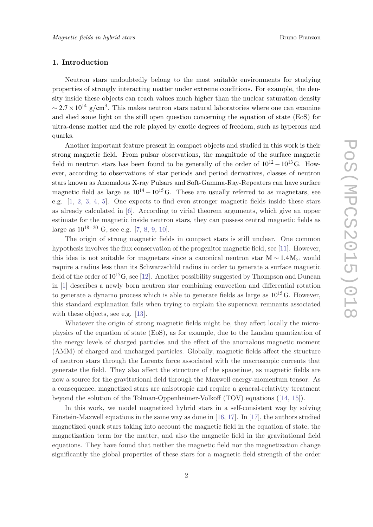## 1. Introduction

Neutron stars undoubtedly belong to the most suitable environments for studying properties of strongly interacting matter under extreme conditions. For example, the density inside these objects can reach values much higher than the nuclear saturation density  $\sim$  2.7 × 10<sup>14</sup> g/cm<sup>3</sup>. This makes neutron stars natural laboratories where one can examine and shed some light on the still open question concerning the equation of state (EoS) for ultra-dense matter and the role played by exotic degrees of freedom, such as hyperons and quarks.

Another important feature present in compact objects and studied in this work is their strong magnetic field. From pulsar observations, the magnitude of the surface magnetic field in neutron stars has been found to be generally of the order of  $10^{12} - 10^{13}$  G. However, according to observations of star periods and period derivatives, classes of neutron stars known as Anomalous X-ray Pulsars and Soft-Gamma-Ray-Repeaters can have surface magnetic field as large as  $10^{14} - 10^{15}$  G. These are usually referred to as magnetars, see e.g. [\[1,](#page-10-0) [2](#page-11-0), [3](#page-11-0), [4](#page-11-0), [5](#page-11-0)]. One expects to find even stronger magnetic fields inside these stars as already calculated in [[6](#page-11-0)]. According to virial theorem arguments, which give an upper estimate for the magnetic inside neutron stars, they can possess central magnetic fields as large as  $10^{18-20}$  $10^{18-20}$  $10^{18-20}$  G, see e.g. [[7](#page-11-0), 8, [9](#page-11-0), [10\]](#page-11-0).

The origin of strong magnetic fields in compact stars is still unclear. One common hypothesis involves the flux conservation of the progenitor magnetic field, see [[11](#page-11-0)]. However, this idea is not suitable for magnetars since a canonical neutron star  $M \sim 1.4 M_{\odot}$  would require a radius less than its Schwarzschild radius in order to generate a surface magnetic field of the order of  $10^{15}$ G, see [\[12](#page-11-0)]. Another possibility suggested by Thompson and Duncan in [[1](#page-10-0)] describes a newly born neutron star combining convection and differential rotation to generate a dynamo process which is able to generate fields as large as  $10^{15}$  G. However, this standard explanation fails when trying to explain the supernova remnants associated with these objects, see e.g. [\[13](#page-11-0)].

Whatever the origin of strong magnetic fields might be, they affect locally the microphysics of the equation of state (EoS), as for example, due to the Landau quantization of the energy levels of charged particles and the effect of the anomalous magnetic moment (AMM) of charged and uncharged particles. Globally, magnetic fields affect the structure of neutron stars through the Lorentz force associated with the macroscopic currents that generate the field. They also affect the structure of the spacetime, as magnetic fields are now a source for the gravitational field through the Maxwell energy-momentum tensor. As a consequence, magnetized stars are anisotropic and require a general-relativity treatment beyond the solution of the Tolman-Oppenheimer-Volkoff (TOV) equations ([[14,](#page-11-0) [15](#page-11-0)]).

In this work, we model magnetized hybrid stars in a self-consistent way by solving Einstein-Maxwell equations in the same way as done in [[16,](#page-11-0) [17](#page-11-0)]. In [[17\]](#page-11-0), the authors studied magnetized quark stars taking into account the magnetic field in the equation of state, the magnetization term for the matter, and also the magnetic field in the gravitational field equations. They have found that neither the magnetic field nor the magnetization change significantly the global properties of these stars for a magnetic field strength of the order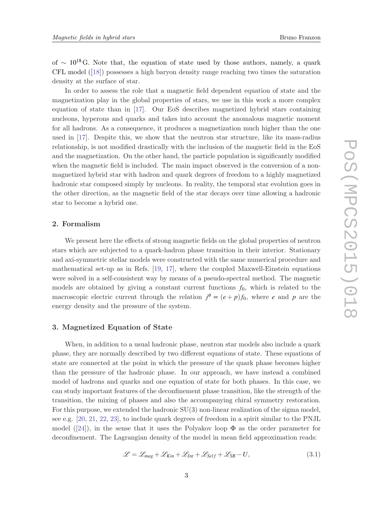of  $\sim 10^{18}$  G. Note that, the equation of state used by those authors, namely, a quark CFL model ([\[18\]](#page-11-0)) possesses a high baryon density range reaching two times the saturation density at the surface of star.

In order to assess the role that a magnetic field dependent equation of state and the magnetization play in the global properties of stars, we use in this work a more complex equation of state than in [\[17](#page-11-0)]. Our EoS describes magnetized hybrid stars containing nucleons, hyperons and quarks and takes into account the anomalous magnetic moment for all hadrons. As a consequence, it produces a magnetization much higher than the one used in [[17\]](#page-11-0). Despite this, we show that the neutron star structure, like its mass-radius relationship, is not modified drastically with the inclusion of the magnetic field in the EoS and the magnetization. On the other hand, the particle population is significantly modified when the magnetic field is included. The main impact observed is the conversion of a nonmagnetized hybrid star with hadron and quark degrees of freedom to a highly magnetized hadronic star composed simply by nucleons. In reality, the temporal star evolution goes in the other direction, as the magnetic field of the star decays over time allowing a hadronic star to become a hybrid one.

# 2. Formalism

We present here the effects of strong magnetic fields on the global properties of neutron stars which are subjected to a quark-hadron phase transition in their interior. Stationary and axi-symmetric stellar models were constructed with the same numerical procedure and mathematical set-up as in Refs. [[19,](#page-11-0) [17\]](#page-11-0), where the coupled Maxwell-Einstein equations were solved in a self-consistent way by means of a pseudo-spectral method. The magnetic models are obtained by giving a constant current functions  $f_0$ , which is related to the macroscopic electric current through the relation  $j^{\phi} \propto (e+p)f_0$ , where *e* and *p* are the energy density and the pressure of the system.

## 3. Magnetized Equation of State

When, in addition to a usual hadronic phase, neutron star models also include a quark phase, they are normally described by two different equations of state. These equations of state are connected at the point in which the pressure of the quark phase becomes higher than the pressure of the hadronic phase. In our approach, we have instead a combined model of hadrons and quarks and one equation of state for both phases. In this case, we can study important features of the deconfinement phase transition, like the strength of the transition, the mixing of phases and also the accompanying chiral symmetry restoration. For this purpose, we extended the hadronic SU(3) non-linear realization of the sigma model, see e.g. [[20,](#page-11-0) [21,](#page-12-0) [22,](#page-12-0) [23](#page-12-0)], to include quark degrees of freedom in a spirit similar to the PNJL model ([\[24](#page-12-0)]), in the sense that it uses the Polyakov loop  $\Phi$  as the order parameter for deconfinement. The Lagrangian density of the model in mean field approximation reads:

$$
\mathcal{L} = \mathcal{L}_{mag} + \mathcal{L}_{Kin} + \mathcal{L}_{Int} + \mathcal{L}_{Self} + \mathcal{L}_{SB} - U,
$$
\n(3.1)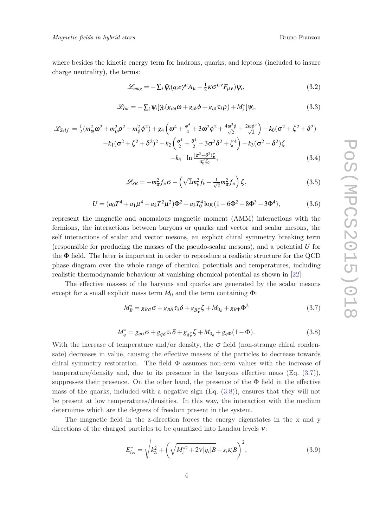where besides the kinetic energy term for hadrons, quarks, and leptons (included to insure charge neutrality), the terms:

$$
\mathcal{L}_{mag} = -\sum_{i} \bar{\psi}_{i} (q_{i} e \gamma^{\mu} A_{\mu} + \frac{1}{2} \kappa \sigma^{\mu \nu} F_{\mu \nu}) \psi_{i}, \qquad (3.2)
$$

$$
\mathcal{L}_{Int} = -\sum_{i} \bar{\psi}_{i} [\gamma_{0} (g_{i\omega}\omega + g_{i\phi}\phi + g_{i\rho}\tau_{3}\rho) + M_{i}^{*}] \psi_{i}, \qquad (3.3)
$$

$$
\mathcal{L}_{Self} = \frac{1}{2} (m_{\omega}^2 \omega^2 + m_{\rho}^2 \rho^2 + m_{\phi}^2 \phi^2) + g_4 \left( \omega^4 + \frac{\phi^4}{4} + 3 \omega^2 \phi^2 + \frac{4 \omega^3 \phi}{\sqrt{2}} + \frac{2 \omega \phi^3}{\sqrt{2}} \right) - k_0 (\sigma^2 + \zeta^2 + \delta^2)
$$

$$
-k_1 (\sigma^2 + \zeta^2 + \delta^2)^2 - k_2 \left( \frac{\sigma^4}{2} + \frac{\delta^4}{2} + 3 \sigma^2 \delta^2 + \zeta^4 \right) - k_3 (\sigma^2 - \delta^2) \zeta
$$

$$
-k_4 \ln \frac{(\sigma^2 - \delta^2) \zeta}{\sigma_0^2 \zeta_0}, \tag{3.4}
$$

$$
\mathcal{L}_{SB} = -m_{\pi}^2 f_{\pi} \sigma - \left(\sqrt{2}m_k^2 f_k - \frac{1}{\sqrt{2}}m_{\pi}^2 f_{\pi}\right)\zeta,
$$
\n(3.5)

$$
U = (a_0 T^4 + a_1 \mu^4 + a_2 T^2 \mu^2) \Phi^2 + a_3 T_0^4 \log (1 - 6\Phi^2 + 8\Phi^3 - 3\Phi^4),
$$
 (3.6)

represent the magnetic and anomalous magnetic moment (AMM) interactions with the fermions, the interactions between baryons or quarks and vector and scalar mesons, the self interactions of scalar and vector mesons, an explicit chiral symmetry breaking term (responsible for producing the masses of the pseudo-scalar mesons), and a potential *U* for the Φ field. The later is important in order to reproduce a realistic structure for the QCD phase diagram over the whole range of chemical potentials and temperatures, including realistic thermodynamic behaviour at vanishing chemical potential as shown in [[22\]](#page-12-0).

The effective masses of the baryons and quarks are generated by the scalar mesons except for a small explicit mass term  $M_0$  and the term containing  $\Phi$ :

$$
M_B^* = g_{B\sigma}\sigma + g_{B\delta}\tau_3\delta + g_{B\zeta}\zeta + M_{0_B} + g_{B\Phi}\Phi^2
$$
\n(3.7)

$$
M_q^* = g_{q\sigma}\sigma + g_{q\delta}\tau_3\delta + g_{q\zeta}\zeta + M_{0_q} + g_{q\Phi}(1 - \Phi). \tag{3.8}
$$

With the increase of temperature and/or density, the  $\sigma$  field (non-strange chiral condensate) decreases in value, causing the effective masses of the particles to decrease towards chiral symmetry restoration. The field  $\Phi$  assumes non-zero values with the increase of temperature/density and, due to its presence in the baryons effective mass (Eq. (3.7)), suppresses their presence. On the other hand, the presence of the  $\Phi$  field in the effective mass of the quarks, included with a negative sign  $(Eq. (3.8))$ , ensures that they will not be present at low temperatures/densities. In this way, the interaction with the medium determines which are the degrees of freedom present in the system.

The magnetic field in the z-direction forces the energy eigenstates in the x and y directions of the charged particles to be quantized into Landau levels ν:

$$
E_{i_{vs}}^{*} = \sqrt{k_{z_i}^2 + \left(\sqrt{M_i^{*2} + 2\nu|q_i|B} - s_i\kappa_iB\right)^2},
$$
\n(3.9)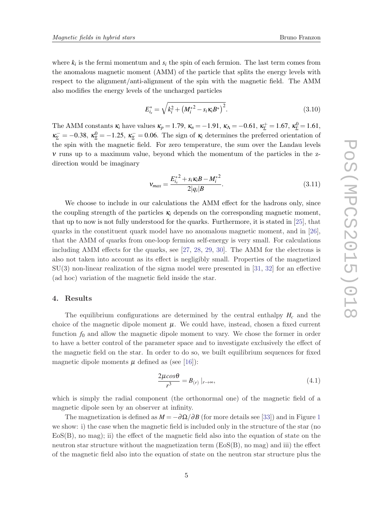where  $k_i$  is the fermi momentum and  $s_i$  the spin of each fermion. The last term comes from the anomalous magnetic moment (AMM) of the particle that splits the energy levels with respect to the alignment/anti-alignment of the spin with the magnetic field. The AMM also modifies the energy levels of the uncharged particles

$$
E_{i_s}^* = \sqrt{k_i^2 + \left(M_i^{*2} - s_i \kappa_i B^*\right)^2}.
$$
\n(3.10)

The AMM constants  $\kappa_i$  have values  $\kappa_p = 1.79$ ,  $\kappa_n = -1.91$ ,  $\kappa_\Lambda = -0.61$ ,  $\kappa_\Sigma^+ = 1.67$ ,  $\kappa_\Sigma^0 = 1.61$ ,  $\kappa_{\Sigma}^- = -0.38, \ \kappa_{\Sigma}^0 = -1.25, \ \kappa_{\Sigma}^- = 0.06.$  The sign of  $\kappa_i$  determines the preferred orientation of the spin with the magnetic field. For zero temperature, the sum over the Landau levels ν runs up to a maximum value, beyond which the momentum of the particles in the zdirection would be imaginary

$$
v_{max} = \frac{E_{i_s}^{*2} + s_i \kappa_i B - M_i^{*2}}{2|q_i|B}.
$$
\n(3.11)

We choose to include in our calculations the AMM effect for the hadrons only, since the coupling strength of the particles  $\kappa_i$  depends on the corresponding magnetic moment, that up to now is not fully understood for the quarks. Furthermore, it is stated in [[25\]](#page-12-0), that quarks in the constituent quark model have no anomalous magnetic moment, and in [[26\]](#page-12-0), that the AMM of quarks from one-loop fermion self-energy is very small. For calculations including AMM effects for the quarks, see [[27,](#page-12-0) [28,](#page-12-0) [29](#page-12-0), [30](#page-12-0)]. The AMM for the electrons is also not taken into account as its effect is negligibly small. Properties of the magnetized SU(3) non-linear realization of the sigma model were presented in [[31,](#page-12-0) [32\]](#page-12-0) for an effective (ad hoc) variation of the magnetic field inside the star.

## 4. Results

The equilibrium configurations are determined by the central enthalpy *H<sup>c</sup>* and the choice of the magnetic dipole moment  $\mu$ . We could have, instead, chosen a fixed current function  $f_0$  and allow the magnetic dipole moment to vary. We chose the former in order to have a better control of the parameter space and to investigate exclusively the effect of the magnetic field on the star. In order to do so, we built equilibrium sequences for fixed magnetic dipole moments  $\mu$  defined as (see [[16\]](#page-11-0)):

$$
\frac{2\mu cos\theta}{r^3} = B_{(r)}\mid_{r \to \infty},\tag{4.1}
$$

which is simply the radial component (the orthonormal one) of the magnetic field of a magnetic dipole seen by an observer at infinity.

The magnetization is defined as  $M = -\partial \Omega / \partial B$  (for more details see [\[33](#page-12-0)]) and in Figure [1](#page-5-0) we show: i) the case when the magnetic field is included only in the structure of the star (no  $EoS(B)$ , no mag); ii) the effect of the magnetic field also into the equation of state on the neutron star structure without the magnetization term  $(ES(B), no mag)$  and iii) the effect of the magnetic field also into the equation of state on the neutron star structure plus the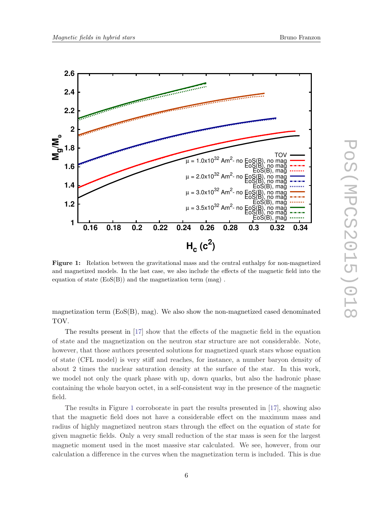<span id="page-5-0"></span>

Figure 1: Relation between the gravitational mass and the central enthalpy for non-magnetized and magnetized models. In the last case, we also include the effects of the magnetic field into the equation of state (EoS(B)) and the magnetization term (mag) .

magnetization term  $(ES(B), mag)$ . We also show the non-magnetized cased denominated TOV.

The results present in [\[17](#page-11-0)] show that the effects of the magnetic field in the equation of state and the magnetization on the neutron star structure are not considerable. Note, however, that those authors presented solutions for magnetized quark stars whose equation of state (CFL model) is very stiff and reaches, for instance, a number baryon density of about 2 times the nuclear saturation density at the surface of the star. In this work, we model not only the quark phase with up, down quarks, but also the hadronic phase containing the whole baryon octet, in a self-consistent way in the presence of the magnetic field.

The results in Figure 1 corroborate in part the results presented in [\[17](#page-11-0)], showing also that the magnetic field does not have a considerable effect on the maximum mass and radius of highly magnetized neutron stars through the effect on the equation of state for given magnetic fields. Only a very small reduction of the star mass is seen for the largest magnetic moment used in the most massive star calculated. We see, however, from our calculation a difference in the curves when the magnetization term is included. This is due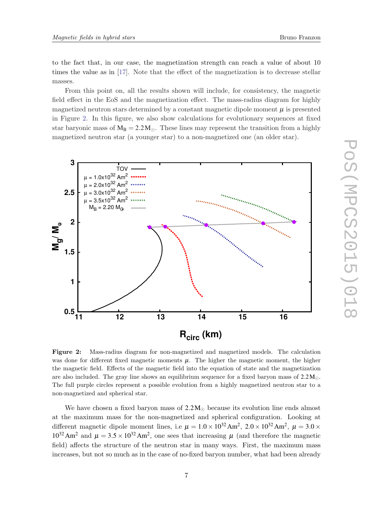<span id="page-6-0"></span>to the fact that, in our case, the magnetization strength can reach a value of about 10 times the value as in [[17\]](#page-11-0). Note that the effect of the magnetization is to decrease stellar masses.

From this point on, all the results shown will include, for consistency, the magnetic field effect in the EoS and the magnetization effect. The mass-radius diagram for highly magnetized neutron stars determined by a constant magnetic dipole moment  $\mu$  is presented in Figure 2. In this figure, we also show calculations for evolutionary sequences at fixed star baryonic mass of  $M_B = 2.2 M_{\odot}$ . These lines may represent the transition from a highly magnetized neutron star (a younger star) to a non-magnetized one (an older star).



Figure 2: Mass-radius diagram for non-magnetized and magnetized models. The calculation was done for different fixed magnetic moments  $\mu$ . The higher the magnetic moment, the higher the magnetic field. Effects of the magnetic field into the equation of state and the magnetization are also included. The gray line shows an equilibrium sequence for a fixed baryon mass of  $2.2 M_{\odot}$ . The full purple circles represent a possible evolution from a highly magnetized neutron star to a non-magnetized and spherical star.

We have chosen a fixed baryon mass of  $2.2 M_{\odot}$  because its evolution line ends almost at the maximum mass for the non-magnetized and spherical configuration. Looking at different magnetic dipole moment lines, i.e  $\mu = 1.0 \times 10^{32} \text{ Am}^2$ ,  $2.0 \times 10^{32} \text{ Am}^2$ ,  $\mu = 3.0 \times 10^{32} \text{ cm}^2$  $10^{32}$  Am<sup>2</sup> and  $\mu = 3.5 \times 10^{32}$  Am<sup>2</sup>, one sees that increasing  $\mu$  (and therefore the magnetic field) affects the structure of the neutron star in many ways. First, the maximum mass increases, but not so much as in the case of no-fixed baryon number, what had been already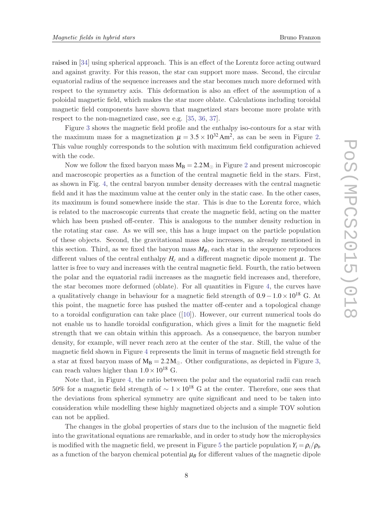raised in [\[34](#page-12-0)] using spherical approach. This is an effect of the Lorentz force acting outward and against gravity. For this reason, the star can support more mass. Second, the circular equatorial radius of the sequence increases and the star becomes much more deformed with respect to the symmetry axis. This deformation is also an effect of the assumption of a poloidal magnetic field, which makes the star more oblate. Calculations including toroidal magnetic field components have shown that magnetized stars become more prolate with respect to the non-magnetized case, see e.g. [\[35](#page-12-0), [36,](#page-12-0) [37](#page-12-0)].

Figure [3](#page-8-0) shows the magnetic field profile and the enthalpy iso-contours for a star with the maximum mass for a magnetization  $\mu = 3.5 \times 10^{32} \text{ Am}^2$ , as can be seen in Figure [2.](#page-6-0) This value roughly corresponds to the solution with maximum field configuration achieved with the code.

Now we follow the fixed baryon mass  $M_B = 2.2 M_{\odot}$  $M_B = 2.2 M_{\odot}$  $M_B = 2.2 M_{\odot}$  in Figure 2 and present microscopic and macroscopic properties as a function of the central magnetic field in the stars. First, as shown in Fig. [4](#page-9-0), the central baryon number density decreases with the central magnetic field and it has the maximum value at the center only in the static case. In the other cases, its maximum is found somewhere inside the star. This is due to the Lorentz force, which is related to the macroscopic currents that create the magnetic field, acting on the matter which has been pushed off-center. This is analogous to the number density reduction in the rotating star case. As we will see, this has a huge impact on the particle population of these objects. Second, the gravitational mass also increases, as already mentioned in this section. Third, as we fixed the baryon mass  $M_B$ , each star in the sequence reproduces different values of the central enthalpy  $H_c$  and a different magnetic dipole moment  $\mu$ . The latter is free to vary and increases with the central magnetic field. Fourth, the ratio between the polar and the equatorial radii increases as the magnetic field increases and, therefore, the star becomes more deformed (oblate). For all quantities in Figure [4](#page-9-0), the curves have a qualitatively change in behaviour for a magnetic field strength of  $0.9-1.0\times10^{18}$  G. At this point, the magnetic force has pushed the matter off-center and a topological change to a toroidal configuration can take place  $([10])$  $([10])$  $([10])$ . However, our current numerical tools do not enable us to handle toroidal configuration, which gives a limit for the magnetic field strength that we can obtain within this approach. As a consequence, the baryon number density, for example, will never reach zero at the center of the star. Still, the value of the magnetic field shown in Figure [4](#page-9-0) represents the limit in terms of magnetic field strength for a star at fixed baryon mass of  $M_B = 2.2 M_\odot$ . Other configurations, as depicted in Figure [3,](#page-8-0) can reach values higher than  $1.0 \times 10^{18}$  G.

Note that, in Figure [4](#page-9-0), the ratio between the polar and the equatorial radii can reach 50% for a magnetic field strength of  $\sim 1 \times 10^{18}$  G at the center. Therefore, one sees that the deviations from spherical symmetry are quite significant and need to be taken into consideration while modelling these highly magnetized objects and a simple TOV solution can not be applied.

The changes in the global properties of stars due to the inclusion of the magnetic field into the gravitational equations are remarkable, and in order to study how the microphysics is modified with the magnetic field, we present in Figure [5](#page-10-0) the particle population  $Y_i = \rho_i/\rho_b$ as a function of the baryon chemical potential  $\mu_B$  for different values of the magnetic dipole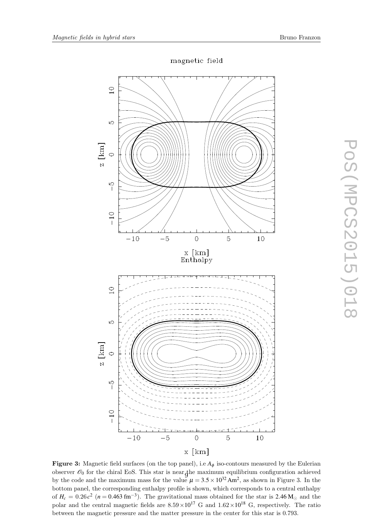<span id="page-8-0"></span>

# magnetic field

**Figure 3:** Magnetic field surfaces (on the top panel), i.e  $A_{\phi}$  iso-contours measured by the Eulerian observer  $\mathscr{O}_0$  for the chiral EoS. This star is near the maximum equilibrium configuration achieved by the code and the maximum mass for the value  $\mu = 3.5 \times 10^{32} \text{ Am}^2$ , as shown in Figure 3. In the bottom panel, the corresponding enthalpy profile is shown, which corresponds to a central enthalpy of  $H_c = 0.26 c^2$  ( $n = 0.463$  fm<sup>-3</sup>). The gravitational mass obtained for the star is 2.46 M<sub>o</sub> and the polar and the central magnetic fields are  $8.59 \times 10^{17}$  G and  $1.62 \times 10^{18}$  G, respectively. The ratio between the magnetic pressure and the matter pressure in the center for this star is 0.793.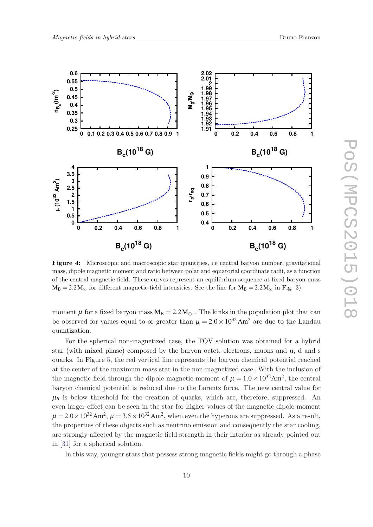<span id="page-9-0"></span>

Figure 4: Microscopic and macroscopic star quantities, i.e central baryon number, gravitational mass, dipole magnetic moment and ratio between polar and equatorial coordinate radii, as a function of the central magnetic field. These curves represent an equilibrium sequence at fixed baryon mass  $M_B = 2.2 M_{\odot}$  for different magnetic field intensities. See the line for  $M_B = 2.2 M_{\odot}$  in Fig. 3).

moment  $\mu$  for a fixed baryon mass  $M_B = 2.2 M_{\odot}$ . The kinks in the population plot that can be observed for values equal to or greater than  $\mu = 2.0 \times 10^{32}$  Am<sup>2</sup> are due to the Landau quantization.

For the spherical non-magnetized case, the TOV solution was obtained for a hybrid star (with mixed phase) composed by the baryon octet, electrons, muons and u, d and s quarks. In Figure [5](#page-10-0), the red vertical line represents the baryon chemical potential reached at the center of the maximum mass star in the non-magnetized case. With the inclusion of the magnetic field through the dipole magnetic moment of  $\mu = 1.0 \times 10^{32} \text{Am}^2$ , the central baryon chemical potential is reduced due to the Lorentz force. The new central value for  $\mu_B$  is below threshold for the creation of quarks, which are, therefore, suppressed. An even larger effect can be seen in the star for higher values of the magnetic dipole moment  $\mu = 2.0 \times 10^{32}$  Am<sup>2</sup>,  $\mu = 3.5 \times 10^{32}$  Am<sup>2</sup>, when even the hyperons are suppressed. As a result, the properties of these objects such as neutrino emission and consequently the star cooling, are strongly affected by the magnetic field strength in their interior as already pointed out in [\[31\]](#page-12-0) for a spherical solution.

In this way, younger stars that possess strong magnetic fields might go through a phase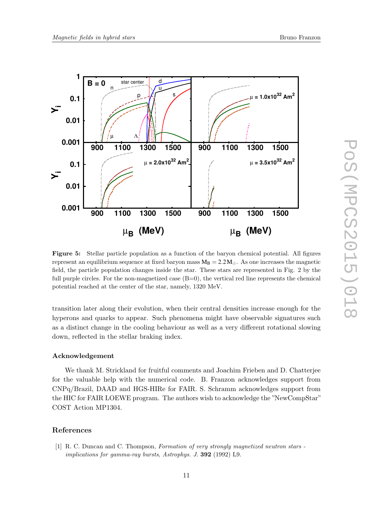

<span id="page-10-0"></span>

Figure 5: Stellar particle population as a function of the baryon chemical potential. All figures represent an equilibrium sequence at fixed baryon mass  $M_B = 2.2 M_{\odot}$ . As one increases the magnetic field, the particle population changes inside the star. These stars are represented in Fig. 2 by the full purple circles. For the non-magnetized case  $(B=0)$ , the vertical red line represents the chemical potential reached at the center of the star, namely, 1320 MeV.

transition later along their evolution, when their central densities increase enough for the hyperons and quarks to appear. Such phenomena might have observable signatures such as a distinct change in the cooling behaviour as well as a very different rotational slowing down, reflected in the stellar braking index.

## Acknowledgement

We thank M. Strickland for fruitful comments and Joachim Frieben and D. Chatterjee for the valuable help with the numerical code. B. Franzon acknowledges support from CNPq/Brazil, DAAD and HGS-HIRe for FAIR. S. Schramm acknowledges support from the HIC for FAIR LOEWE program. The authors wish to acknowledge the "NewCompStar" COST Action MP1304.

# References

[1] R. C. Duncan and C. Thompson, Formation of very strongly magnetized neutron stars implications for gamma-ray bursts, Astrophys. J. 392 (1992) L9.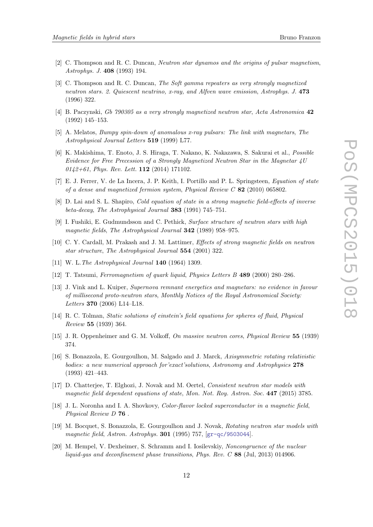- <span id="page-11-0"></span>[2] C. Thompson and R. C. Duncan, Neutron star dynamos and the origins of pulsar magnetism, Astrophys. J. 408 (1993) 194.
- [3] C. Thompson and R. C. Duncan, The Soft gamma repeaters as very strongly magnetized neutron stars. 2. Quiescent neutrino, x-ray, and Alfven wave emission, Astrophys. J. 473 (1996) 322.
- [4] B. Paczynski, Gb 790305 as a very strongly magnetized neutron star, Acta Astronomica 42 (1992) 145–153.
- [5] A. Melatos, Bumpy spin-down of anomalous x-ray pulsars: The link with magnetars, The Astrophysical Journal Letters 519 (1999) L77.
- [6] K. Makishima, T. Enoto, J. S. Hiraga, T. Nakano, K. Nakazawa, S. Sakurai et al., Possible Evidence for Free Precession of a Strongly Magnetized Neutron Star in the Magnetar 4U 0142+61, Phys. Rev. Lett. 112 (2014) 171102.
- [7] E. J. Ferrer, V. de La Incera, J. P. Keith, I. Portillo and P. L. Springsteen, Equation of state of a dense and magnetized fermion system, Physical Review C 82 (2010) 065802.
- [8] D. Lai and S. L. Shapiro, *Cold equation of state in a strong magnetic field-effects of inverse* beta-decay, The Astrophysical Journal 383 (1991) 745–751.
- [9] I. Fushiki, E. Gudmundsson and C. Pethick, Surface structure of neutron stars with high magnetic fields, The Astrophysical Journal 342 (1989) 958–975.
- [10] C. Y. Cardall, M. Prakash and J. M. Lattimer, Effects of strong magnetic fields on neutron star structure, The Astrophysical Journal 554 (2001) 322.
- [11] W. L. The Astrophysical Journal **140** (1964) 1309.
- [12] T. Tatsumi, Ferromagnetism of quark liquid, Physics Letters B 489 (2000) 280–286.
- [13] J. Vink and L. Kuiper, Supernova remnant energetics and magnetars: no evidence in favour of millisecond proto-neutron stars, Monthly Notices of the Royal Astronomical Society: Letters 370 (2006) L14–L18.
- [14] R. C. Tolman, Static solutions of einstein's field equations for spheres of fluid, Physical Review 55 (1939) 364.
- [15] J. R. Oppenheimer and G. M. Volkoff, On massive neutron cores, Physical Review 55 (1939) 374.
- [16] S. Bonazzola, E. Gourgoulhon, M. Salgado and J. Marck, Axisymmetric rotating relativistic bodies: a new numerical approach for exact solutions, Astronomy and Astrophysics 278 (1993) 421–443.
- [17] D. Chatterjee, T. Elghozi, J. Novak and M. Oertel, Consistent neutron star models with magnetic field dependent equations of state, Mon. Not. Roy. Astron. Soc. 447 (2015) 3785.
- [18] J. L. Noronha and I. A. Shovkovy, Color-flavor locked superconductor in a magnetic field, Physical Review D 76 .
- [19] M. Bocquet, S. Bonazzola, E. Gourgoulhon and J. Novak, Rotating neutron star models with magnetic field, Astron. Astrophys. 301 (1995) 757, [[gr-qc/9503044](http://arxiv.org/abs/gr-qc/9503044)].
- [20] M. Hempel, V. Dexheimer, S. Schramm and I. Iosilevskiy, Noncongruence of the nuclear liquid-gas and deconfinement phase transitions, Phys. Rev. C 88 (Jul, 2013) 014906.